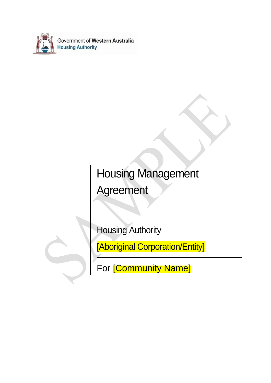

# Housing Management Agreement

Housing Authority

[Aboriginal Corporation/Entity]

For [Community Name]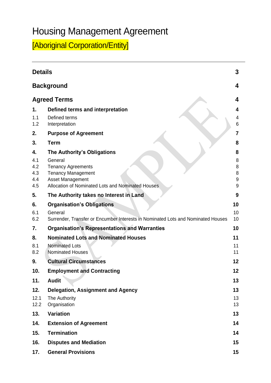## Housing Management Agreement

[Aboriginal Corporation/Entity]

|                                       | 3<br><b>Details</b>                                                                                                                                                              |                                                          |  |  |  |
|---------------------------------------|----------------------------------------------------------------------------------------------------------------------------------------------------------------------------------|----------------------------------------------------------|--|--|--|
|                                       | <b>Background</b>                                                                                                                                                                | 4                                                        |  |  |  |
|                                       | <b>Agreed Terms</b><br>4                                                                                                                                                         |                                                          |  |  |  |
| 1.<br>1.1<br>1.2                      | Defined terms and interpretation<br>Defined terms<br>Interpretation                                                                                                              | 4<br>4<br>6                                              |  |  |  |
| 2.                                    | <b>Purpose of Agreement</b>                                                                                                                                                      | $\overline{7}$                                           |  |  |  |
| 3.                                    | <b>Term</b>                                                                                                                                                                      | 8                                                        |  |  |  |
| 4.<br>4.1<br>4.2<br>4.3<br>4.4<br>4.5 | The Authority's Obligations<br>General<br><b>Tenancy Agreements</b><br><b>Tenancy Management</b><br><b>Asset Management</b><br>Allocation of Nominated Lots and Nominated Houses | 8<br>8<br>8<br>8<br>$\boldsymbol{9}$<br>$\boldsymbol{9}$ |  |  |  |
| 5.                                    | The Authority takes no Interest in Land                                                                                                                                          | 9                                                        |  |  |  |
| 6.<br>6.1<br>6.2                      | <b>Organisation's Obligations</b><br>General<br>Surrender, Transfer or Encumber Interests in Nominated Lots and Nominated Houses                                                 | 10<br>10<br>10                                           |  |  |  |
| 7.                                    | <b>Organisation's Representations and Warranties</b>                                                                                                                             | 10                                                       |  |  |  |
| 8.<br>8.1<br>8.2                      | <b>Nominated Lots and Nominated Houses</b><br>Nominated Lots<br>Nominated Houses                                                                                                 | 11<br>11<br>11                                           |  |  |  |
| 9.                                    | <b>Cultural Circumstances</b>                                                                                                                                                    | 12                                                       |  |  |  |
| 10.                                   | <b>Employment and Contracting</b>                                                                                                                                                | 12                                                       |  |  |  |
| 11.                                   | <b>Audit</b>                                                                                                                                                                     | 13                                                       |  |  |  |
| 12.<br>12.1<br>12.2                   | <b>Delegation, Assignment and Agency</b><br>The Authority<br>Organisation                                                                                                        | 13<br>13<br>13                                           |  |  |  |
| 13.                                   | Variation                                                                                                                                                                        | 13                                                       |  |  |  |
| 14.                                   | <b>Extension of Agreement</b>                                                                                                                                                    | 14                                                       |  |  |  |
| 15.                                   | <b>Termination</b>                                                                                                                                                               | 14                                                       |  |  |  |
| 16.                                   | <b>Disputes and Mediation</b>                                                                                                                                                    | 15                                                       |  |  |  |
| 17.                                   | <b>General Provisions</b>                                                                                                                                                        | 15                                                       |  |  |  |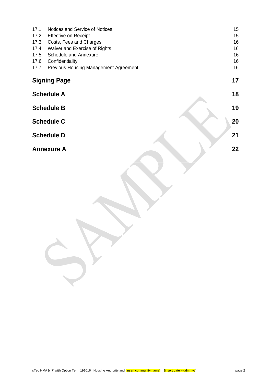| 17.1 | Notices and Service of Notices               | 15 |
|------|----------------------------------------------|----|
| 17.2 | <b>Effective on Receipt</b>                  | 15 |
| 17.3 | Costs, Fees and Charges                      | 16 |
| 17.4 | Waiver and Exercise of Rights                | 16 |
| 17.5 | <b>Schedule and Annexure</b>                 | 16 |
| 17.6 | Confidentiality                              | 16 |
| 17.7 | <b>Previous Housing Management Agreement</b> | 16 |
|      | <b>Signing Page</b>                          | 17 |
|      | <b>Schedule A</b>                            | 18 |
|      | <b>Schedule B</b>                            | 19 |
|      | <b>Schedule C</b>                            | 20 |
|      | <b>Schedule D</b>                            | 21 |
|      | <b>Annexure A</b>                            | 22 |
|      |                                              |    |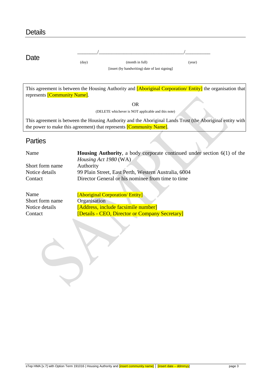<span id="page-3-0"></span>

| <b>Details</b> |       |                                                                   |        |  |
|----------------|-------|-------------------------------------------------------------------|--------|--|
| Date           | (day) | (month in full)<br>[insert (by handwriting) date of last signing] | (year) |  |
|                |       |                                                                   |        |  |

This agreement is between the Housing Authority and **[Aboriginal Corporation/ Entity]** the organisation that represents [Community Name].

OR

(DELETE whichever is NOT applicable and this note)

This agreement is between the Housing Authority and the Aboriginal Lands Trust (the Aboriginal entity with the power to make this agreement) that represents [Community Name].

## **Parties**

| Name            | <b>Housing Authority,</b> a body corporate continued under section $6(1)$ of the |
|-----------------|----------------------------------------------------------------------------------|
|                 | <i>Housing Act 1980</i> (WA)                                                     |
| Short form name | Authority                                                                        |
| Notice details  | 99 Plain Street, East Perth, Western Australia, 6004                             |
| Contact         | Director General or his nominee from time to time                                |
|                 |                                                                                  |
| $\mathbf{r}$    | $\sim$                                                                           |

| Name            | [Aboriginal Corporation/ Entity]               |
|-----------------|------------------------------------------------|
| Short form name | Organisation                                   |
| Notice details  | [Address, include facsimile number]            |
| Contact         | [Details - CEO, Director or Company Secretary] |
|                 |                                                |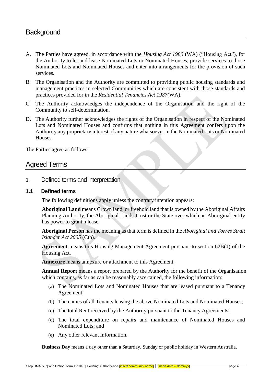- <span id="page-4-0"></span>A. The Parties have agreed, in accordance with the *Housing Act 1980* (WA) ("Housing Act"), for the Authority to let and lease Nominated Lots or Nominated Houses, provide services to those Nominated Lots and Nominated Houses and enter into arrangements for the provision of such services.
- B. The Organisation and the Authority are committed to providing public housing standards and management practices in selected Communities which are consistent with those standards and practices provided for in the *Residential Tenancies Act 1987*(WA).
- C. The Authority acknowledges the independence of the Organisation and the right of the Community to self-determination.
- D. The Authority further acknowledges the rights of the Organisation in respect of the Nominated Lots and Nominated Houses and confirms that nothing in this Agreement confers upon the Authority any proprietary interest of any nature whatsoever in the Nominated Lots or Nominated Houses.

The Parties agree as follows:

## <span id="page-4-1"></span>Agreed Terms

<span id="page-4-2"></span>1. Defined terms and interpretation

#### <span id="page-4-3"></span>**1.1 Defined terms**

The following definitions apply unless the contrary intention appears:

**Aboriginal Land** means Crown land, or freehold land that is owned by the Aboriginal Affairs Planning Authority, the Aboriginal Lands Trust or the State over which an Aboriginal entity has power to grant a lease.

**Aboriginal Person** has the meaning as that term is defined in the *Aboriginal and Torres Strait Islander Act 2005* (Cth).

**Agreement** means this Housing Management Agreement pursuant to section 62B(1) of the Housing Act.

**Annexure** means annexure or attachment to this Agreement.

**Annual Report** means a report prepared by the Authority for the benefit of the Organisation which contains, as far as can be reasonably ascertained, the following information:

- (a) The Nominated Lots and Nominated Houses that are leased pursuant to a Tenancy Agreement;
- (b) The names of all Tenants leasing the above Nominated Lots and Nominated Houses;
- (c) The total Rent received by the Authority pursuant to the Tenancy Agreements;
- (d) The total expenditure on repairs and maintenance of Nominated Houses and Nominated Lots; and
- (e) Any other relevant information.

**Business Day** means a day other than a Saturday, Sunday or public holiday in Western Australia.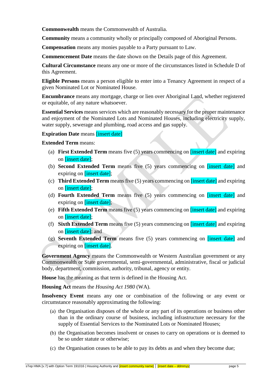**Commonwealth** means the Commonwealth of Australia.

**Community** means a community wholly or principally composed of Aboriginal Persons.

**Compensation** means any monies payable to a Party pursuant to Law.

**Commencement Date** means the date shown on the Details page of this Agreement.

**Cultural Circumstance** means any one or more of the circumstances listed in Schedule D of this Agreement.

**Eligible Persons** means a person eligible to enter into a Tenancy Agreement in respect of a given Nominated Lot or Nominated House.

**Encumbrance** means any mortgage, charge or lien over Aboriginal Land, whether registered or equitable, of any nature whatsoever.

**Essential Services** means services which are reasonably necessary for the proper maintenance and enjoyment of the Nominated Lots and Nominated Houses, including electricity supply, water supply, sewerage and plumbing, road access and gas supply.

#### **Expiration Date** means **[insert date]**

**Extended Term** means:

- (a) **First Extended Term** means five (5) years commencing on [insert date] and expiring on [insert date];
- (b) **Second Extended Term** means five (5) years commencing on [insert date] and expiring on **[insert date]**;
- (c) **Third Extended Term** means five (5) years commencing on [insert date] and expiring on [insert date];
- (d) **Fourth Extended Term** means five (5) years commencing on [insert date] and expiring on **[insert date]**;
- (e) **Fifth Extended Term** means five (5) years commencing on [insert date] and expiring on [insert date];
- (f) **Sixth Extended Term** means five (5) years commencing on [insert date] and expiring on [insert date]; and
- (g) **Seventh Extended Term** means five (5) years commencing on [insert date] and expiring on **[insert date]**.

**Government Agency** means the Commonwealth or Western Australian government or any Commonwealth or State governmental, semi-governmental, administrative, fiscal or judicial body, department, commission, authority, tribunal, agency or entity.

**House** has the meaning as that term is defined in the Housing Act*.* 

**Housing Act** means the *Housing Act 1980* (WA).

Insolvency Event means any one or combination of the following or any event or circumstance reasonably approximating the following:

- (a) the Organisation disposes of the whole or any part of its operations or business other than in the ordinary course of business, including infrastructure necessary for the supply of Essential Services to the Nominated Lots or Nominated Houses;
- (b) the Organisation becomes insolvent or ceases to carry on operations or is deemed to be so under statute or otherwise;
- (c) the Organisation ceases to be able to pay its debts as and when they become due;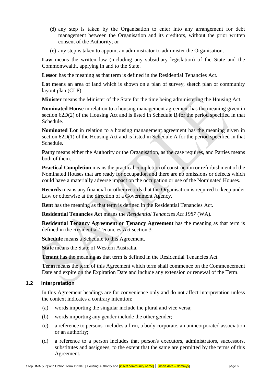- (d) any step is taken by the Organisation to enter into any arrangement for debt management between the Organisation and its creditors, without the prior written consent of the Authority; or
- (e) any step is taken to appoint an administrator to administer the Organisation.

**Law** means the written law (including any subsidiary legislation) of the State and the Commonwealth, applying in and to the State.

**Lessor** has the meaning as that term is defined in the Residential Tenancies Act*.*

Lot means an area of land which is shown on a plan of survey, sketch plan or community layout plan (CLP).

**Minister** means the Minister of the State for the time being administering the Housing Act*.*

**Nominated House** in relation to a housing management agreement has the meaning given in section 62D(2) of the Housing Act and is listed in Schedule B for the period specified in that Schedule.

**Nominated Lot** in relation to a housing management agreement has the meaning given in section 62D(1) of the Housing Act and is listed in Schedule A for the period specified in that Schedule.

**Party** means either the Authority or the Organisation, as the case requires, and Parties means both of them.

**Practical Completion** means the practical completion of construction or refurbishment of the Nominated Houses that are ready for occupation and there are no omissions or defects which could have a materially adverse impact on the occupation or use of the Nominated Houses.

**Records** means any financial or other records that the Organisation is required to keep under Law or otherwise at the direction of a Government Agency.

**Rent** has the meaning as that term is defined in the Residential Tenancies Act*.*

**Residential Tenancies Act** means the *Residential Tenancies Act 1987* (WA)*.*

**Residential Tenancy Agreement or Tenancy Agreement** has the meaning as that term is defined in the Residential Tenancies Act section 3*.*

**Schedule** means a Schedule to this Agreement.

**State** means the State of Western Australia.

**Tenant** has the meaning as that term is defined in the Residential Tenancies Act*.*

**Term** means the term of this Agreement which term shall commence on the Commencement Date and expire on the Expiration Date and include any extension or renewal of the Term.

#### <span id="page-6-0"></span>**1.2 Interpretation**

In this Agreement headings are for convenience only and do not affect interpretation unless the context indicates a contrary intention:

- (a) words importing the singular include the plural and vice versa;
- (b) words importing any gender include the other gender;
- (c) a reference to persons includes a firm, a body corporate, an unincorporated association or an authority;
- (d) a reference to a person includes that person's executors, administrators, successors, substitutes and assignees, to the extent that the same are permitted by the terms of this Agreement.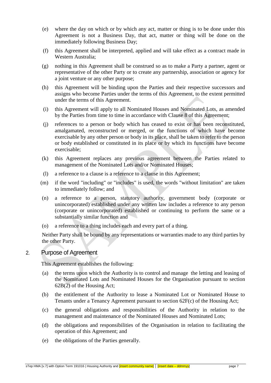- (e) where the day on which or by which any act, matter or thing is to be done under this Agreement is not a Business Day, that act, matter or thing will be done on the immediately following Business Day;
- (f) this Agreement shall be interpreted, applied and will take effect as a contract made in Western Australia;
- (g) nothing in this Agreement shall be construed so as to make a Party a partner, agent or representative of the other Party or to create any partnership, association or agency for a joint venture or any other purpose;
- (h) this Agreement will be binding upon the Parties and their respective successors and assigns who become Parties under the terms of this Agreement, to the extent permitted under the terms of this Agreement.
- (i) this Agreement will apply to all Nominated Houses and Nominated Lots, as amended by the Parties from time to time in accordance with Clause 8 of this Agreement;
- (j) references to a person or body which has ceased to exist or has been reconstituted, amalgamated, reconstructed or merged, or the functions of which have become exercisable by any other person or body in its place, shall be taken to refer to the person or body established or constituted in its place or by which its functions have become exercisable;
- (k) this Agreement replaces any previous agreement between the Parties related to management of the Nominated Lots and/or Nominated Houses;
- (l) a reference to a clause is a reference to a clause in this Agreement;
- (m) if the word "including" or "includes" is used, the words "without limitation" are taken to immediately follow; and
- (n) a reference to a person, statutory authority, government body (corporate or unincorporated) established under any written law includes a reference to any person (corporate or unincorporated) established or continuing to perform the same or a substantially similar function and
- (o) a reference to a thing includes each and every part of a thing.

Neither Party shall be bound by any representations or warranties made to any third parties by the other Party.

## <span id="page-7-0"></span>2. Purpose of Agreement

This Agreement establishes the following:

- (a) the terms upon which the Authority is to control and manage the letting and leasing of the Nominated Lots and Nominated Houses for the Organisation pursuant to section 62B(2) of the Housing Act;
- (b) the entitlement of the Authority to lease a Nominated Lot or Nominated House to Tenants under a Tenancy Agreement pursuant to section 62F(c) of the Housing Act;
- (c) the general obligations and responsibilities of the Authority in relation to the management and maintenance of the Nominated Houses and Nominated Lots;
- (d) the obligations and responsibilities of the Organisation in relation to facilitating the operation of this Agreement; and
- (e) the obligations of the Parties generally.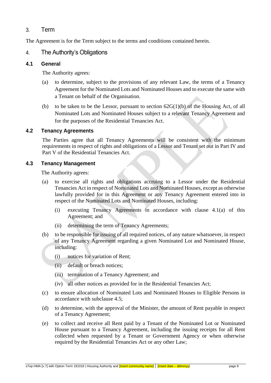## <span id="page-8-0"></span>3. Term

The Agreement is for the Term subject to the terms and conditions contained herein.

## <span id="page-8-1"></span>4. The Authority's Obligations

### <span id="page-8-2"></span>**4.1 General**

The Authority agrees:

- (a) to determine, subject to the provisions of any relevant Law, the terms of a Tenancy Agreement for the Nominated Lots and Nominated Houses and to execute the same with a Tenant on behalf of the Organisation.
- (b) to be taken to be the Lessor, pursuant to section  $62G(1)(b)$  of the Housing Act, of all Nominated Lots and Nominated Houses subject to a relevant Tenancy Agreement and for the purposes of the Residential Tenancies Act.

#### <span id="page-8-3"></span>**4.2 Tenancy Agreements**

The Parties agree that all Tenancy Agreements will be consistent with the minimum requirements in respect of rights and obligations of a Lessor and Tenant set out in Part IV and Part V of the Residential Tenancies Act.

#### <span id="page-8-4"></span>**4.3 Tenancy Management**

The Authority agrees:

- (a) to exercise all rights and obligations accruing to a Lessor under the Residential Tenancies Act in respect of Nominated Lots and Nominated Houses, except as otherwise lawfully provided for in this Agreement or any Tenancy Agreement entered into in respect of the Nominated Lots and Nominated Houses, including:
	- (i) executing Tenancy Agreements in accordance with clause 4.1(a) of this Agreement; and
	- (ii) determining the term of Tenancy Agreements;
- (b) to be responsible for issuing of all required notices, of any nature whatsoever, in respect of any Tenancy Agreement regarding a given Nominated Lot and Nominated House, including:
	- (i) notices for variation of Rent;
	- (ii) default or breach notices;
	- (iii) termination of a Tenancy Agreement; and
	- (iv) all other notices as provided for in the Residential Tenancies Act;
- (c) to ensure allocation of Nominated Lots and Nominated Houses to Eligible Persons in accordance with subclause 4.5;
- (d) to determine, with the approval of the Minister, the amount of Rent payable in respect of a Tenancy Agreement;
- (e) to collect and receive all Rent paid by a Tenant of the Nominated Lot or Nominated House pursuant to a Tenancy Agreement, including the issuing receipts for all Rent collected when requested by a Tenant or Government Agency or when otherwise required by the Residential Tenancies Act or any other Law;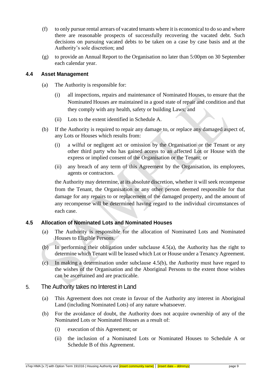- (f) to only pursue rental arrears of vacated tenants where it is economical to do so and where there are reasonable prospects of successfully recovering the vacated debt. Such decisions on pursuing vacated debts to be taken on a case by case basis and at the Authority's sole discretion; and
- (g) to provide an Annual Report to the Organisation no later than 5:00pm on 30 September each calendar year.

#### <span id="page-9-0"></span>**4.4 Asset Management**

- (a) The Authority is responsible for:
	- (i) all inspections, repairs and maintenance of Nominated Houses, to ensure that the Nominated Houses are maintained in a good state of repair and condition and that they comply with any health, safety or building Laws; and
	- (ii) Lots to the extent identified in Schedule A.
- (b) If the Authority is required to repair any damage to, or replace any damaged aspect of, any Lots or Houses which results from:
	- (i) a wilful or negligent act or omission by the Organisation or the Tenant or any other third party who has gained access to an affected Lot or House with the express or implied consent of the Organisation or the Tenant; or
	- (ii) any breach of any term of this Agreement by the Organisation, its employees, agents or contractors.

the Authority may determine, at its absolute discretion, whether it will seek recompense from the Tenant, the Organisation or any other person deemed responsible for that damage for any repairs to or replacement of the damaged property, and the amount of any recompense will be determined having regard to the individual circumstances of each case.

## <span id="page-9-1"></span>**4.5 Allocation of Nominated Lots and Nominated Houses**

- (a) The Authority is responsible for the allocation of Nominated Lots and Nominated Houses to Eligible Persons.
- (b) In performing their obligation under subclause 4.5(a), the Authority has the right to determine which Tenant will be leased which Lot or House under a Tenancy Agreement.
- (c) In making a determination under subclause 4.5(b), the Authority must have regard to the wishes of the Organisation and the Aboriginal Persons to the extent those wishes can be ascertained and are practicable.

## <span id="page-9-2"></span>5. The Authority takes no Interest in Land

- (a) This Agreement does not create in favour of the Authority any interest in Aboriginal Land (including Nominated Lots) of any nature whatsoever.
- (b) For the avoidance of doubt, the Authority does not acquire ownership of any of the Nominated Lots or Nominated Houses as a result of:
	- (i) execution of this Agreement; or
	- (ii) the inclusion of a Nominated Lots or Nominated Houses to Schedule A or Schedule B of this Agreement.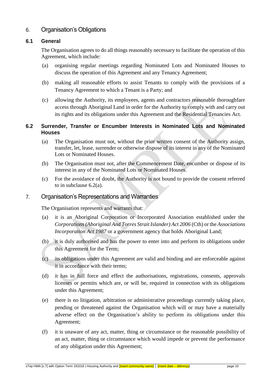## <span id="page-10-0"></span>6. Organisation's Obligations

#### <span id="page-10-1"></span>**6.1 General**

The Organisation agrees to do all things reasonably necessary to facilitate the operation of this Agreement, which include:

- (a) organising regular meetings regarding Nominated Lots and Nominated Houses to discuss the operation of this Agreement and any Tenancy Agreement;
- (b) making all reasonable efforts to assist Tenants to comply with the provisions of a Tenancy Agreement to which a Tenant is a Party; and
- (c) allowing the Authority, its employees, agents and contractors reasonable thoroughfare access through Aboriginal Land in order for the Authority to comply with and carry out its rights and its obligations under this Agreement and the Residential Tenancies Act*.*

#### <span id="page-10-2"></span>**6.2 Surrender, Transfer or Encumber Interests in Nominated Lots and Nominated Houses**

- (a) The Organisation must not, without the prior written consent of the Authority assign, transfer, let, lease, surrender or otherwise dispose of its interest in any of the Nominated Lots or Nominated Houses.
- (b) The Organisation must not, after the Commencement Date, encumber or dispose of its interest in any of the Nominated Lots or Nominated Houses.
- (c) For the avoidance of doubt, the Authority is not bound to provide the consent referred to in subclause 6.2(a).

## <span id="page-10-3"></span>7. Organisation's Representations and Warranties

The Organisation represents and warrants that:

- (a) it is an Aboriginal Corporation or Incorporated Association established under the *Corporations (Aboriginal And Torres Strait Islander) Act 2006* (Cth) or the *Associations Incorporation Act 1987* or a government agency that holds Aboriginal Land;
- (b) it is duly authorised and has the power to enter into and perform its obligations under this Agreement for the Term;
- (c) its obligations under this Agreement are valid and binding and are enforceable against it in accordance with their terms;
- (d) it has in full force and effect the authorisations, registrations, consents, approvals licenses or permits which are, or will be, required in connection with its obligations under this Agreement;
- (e) there is no litigation, arbitration or administrative proceedings currently taking place, pending or threatened against the Organisation which will or may have a materially adverse effect on the Organisation's ability to perform its obligations under this Agreement;
- (f) it is unaware of any act, matter, thing or circumstance or the reasonable possibility of an act, matter, thing or circumstance which would impede or prevent the performance of any obligation under this Agreement;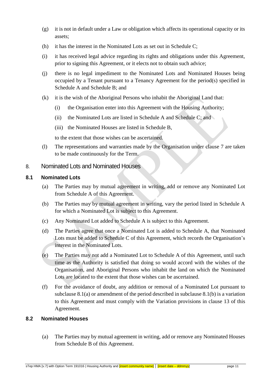- (g) it is not in default under a Law or obligation which affects its operational capacity or its assets;
- (h) it has the interest in the Nominated Lots as set out in Schedule C;
- (i) it has received legal advice regarding its rights and obligations under this Agreement, prior to signing this Agreement, or it elects not to obtain such advice;
- (j) there is no legal impediment to the Nominated Lots and Nominated Houses being occupied by a Tenant pursuant to a Tenancy Agreement for the period(s) specified in Schedule A and Schedule B; and
- (k) it is the wish of the Aboriginal Persons who inhabit the Aboriginal Land that:
	- (i) the Organisation enter into this Agreement with the Housing Authority;
	- (ii) the Nominated Lots are listed in Schedule A and Schedule C; and
	- (iii) the Nominated Houses are listed in Schedule B,

to the extent that those wishes can be ascertained.

(l) The representations and warranties made by the Organisation under clause 7 are taken to be made continuously for the Term.

## <span id="page-11-0"></span>8. Nominated Lots and Nominated Houses

#### <span id="page-11-1"></span>**8.1 Nominated Lots**

- (a) The Parties may by mutual agreement in writing, add or remove any Nominated Lot from Schedule A of this Agreement.
- (b) The Parties may by mutual agreement in writing, vary the period listed in Schedule A for which a Nominated Lot is subject to this Agreement.
- (c) Any Nominated Lot added to Schedule A is subject to this Agreement.
- (d) The Parties agree that once a Nominated Lot is added to Schedule A, that Nominated Lots must be added to Schedule C of this Agreement, which records the Organisation's interest in the Nominated Lots.
- (e) The Parties may not add a Nominated Lot to Schedule A of this Agreement, until such time as the Authority is satisfied that doing so would accord with the wishes of the Organisation, and Aboriginal Persons who inhabit the land on which the Nominated Lots are located to the extent that those wishes can be ascertained.
- (f) For the avoidance of doubt, any addition or removal of a Nominated Lot pursuant to subclause 8.1(a) or amendment of the period described in subclause 8.1(b) is a variation to this Agreement and must comply with the Variation provisions in clause 13 of this Agreement.

#### <span id="page-11-2"></span>**8.2 Nominated Houses**

(a) The Parties may by mutual agreement in writing, add or remove any Nominated Houses from Schedule B of this Agreement.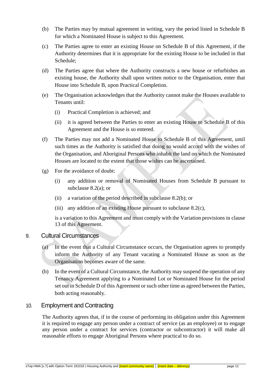- (b) The Parties may by mutual agreement in writing, vary the period listed in Schedule B for which a Nominated House is subject to this Agreement.
- (c) The Parties agree to enter an existing House on Schedule B of this Agreement, if the Authority determines that it is appropriate for the existing House to be included in that Schedule;
- (d) The Parties agree that where the Authority constructs a new house or refurbishes an existing house, the Authority shall upon written notice to the Organisation, enter that House into Schedule B, upon Practical Completion.
- (e) The Organisation acknowledges that the Authority cannot make the Houses available to Tenants until:
	- (i) Practical Completion is achieved; and
	- (ii) it is agreed between the Parties to enter an existing House to Schedule B of this Agreement and the House is so entered.
- (f) The Parties may not add a Nominated House to Schedule B of this Agreement, until such times as the Authority is satisfied that doing so would accord with the wishes of the Organisation, and Aboriginal Persons who inhabit the land on which the Nominated Houses are located to the extent that those wishes can be ascertained.
- (g) For the avoidance of doubt:
	- (i) any addition or removal of Nominated Houses from Schedule B pursuant to subclause 8.2(a); or
	- (ii) a variation of the period described in subclause 8.2(b); or
	- (iii) any addition of an existing House pursuant to subclause 8.2(c),

is a variation to this Agreement and must comply with the Variation provisions in clause 13 of this Agreement.

## <span id="page-12-0"></span>9. Cultural Circumstances

- (a) In the event that a Cultural Circumstance occurs, the Organisation agrees to promptly inform the Authority of any Tenant vacating a Nominated House as soon as the Organisation becomes aware of the same.
- (b) In the event of a Cultural Circumstance, the Authority may suspend the operation of any Tenancy Agreement applying to a Nominated Lot or Nominated House for the period set out in Schedule D of this Agreement or such other time as agreed between the Parties, both acting reasonably.

## <span id="page-12-1"></span>10. Employment and Contracting

The Authority agrees that, if in the course of performing its obligation under this Agreement it is required to engage any person under a contract of service (as an employee) or to engage any person under a contract for services (contractor or subcontractor) it will make all reasonable efforts to engage Aboriginal Persons where practical to do so.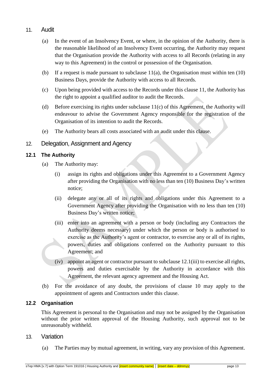## <span id="page-13-0"></span>11. Audit

- (a) In the event of an Insolvency Event, or where, in the opinion of the Authority, there is the reasonable likelihood of an Insolvency Event occurring, the Authority may request that the Organisation provide the Authority with access to all Records (relating in any way to this Agreement) in the control or possession of the Organisation.
- (b) If a request is made pursuant to subclause  $11(a)$ , the Organisation must within ten (10) Business Days, provide the Authority with access to all Records.
- (c) Upon being provided with access to the Records under this clause 11, the Authority has the right to appoint a qualified auditor to audit the Records.
- (d) Before exercising its rights under subclause 11(c) of this Agreement, the Authority will endeavour to advise the Government Agency responsible for the registration of the Organisation of its intention to audit the Records.
- (e) The Authority bears all costs associated with an audit under this clause.

## <span id="page-13-1"></span>12. Delegation, Assignment and Agency

#### <span id="page-13-2"></span>**12.1 The Authority**

- (a) The Authority may:
	- (i) assign its rights and obligations under this Agreement to a Government Agency after providing the Organisation with no less than ten (10) Business Day's written notice;
	- (ii) delegate any or all of its rights and obligations under this Agreement to a Government Agency after providing the Organisation with no less than ten (10) Business Day's written notice;
	- (iii) enter into an agreement with a person or body (including any Contractors the Authority deems necessary) under which the person or body is authorised to exercise as the Authority's agent or contractor, to exercise any or all of its rights, powers, duties and obligations conferred on the Authority pursuant to this Agreement; and
	- (iv) appoint an agent or contractor pursuant to subclause 12.1(iii) to exercise all rights, powers and duties exercisable by the Authority in accordance with this Agreement, the relevant agency agreement and the Housing Act.
- (b) For the avoidance of any doubt, the provisions of clause 10 may apply to the appointment of agents and Contractors under this clause.

#### <span id="page-13-3"></span>**12.2 Organisation**

This Agreement is personal to the Organisation and may not be assigned by the Organisation without the prior written approval of the Housing Authority, such approval not to be unreasonably withheld.

#### <span id="page-13-4"></span>13. Variation

(a) The Parties may by mutual agreement, in writing, vary any provision of this Agreement.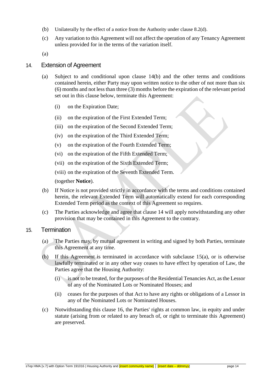- (b) Unilaterally by the effect of a notice from the Authority under clause 8.2(d).
- (c) Any variation to this Agreement will not affect the operation of any Tenancy Agreement unless provided for in the terms of the variation itself.

(a)

#### <span id="page-14-0"></span>14. Extension of Agreement

- (a) Subject to and conditional upon clause 14(b) and the other terms and conditions contained herein, either Party may upon written notice to the other of not more than six (6) months and not less than three (3) months before the expiration of the relevant period set out in this clause below, terminate this Agreement:
	- (i) on the Expiration Date;
	- (ii) on the expiration of the First Extended Term;
	- (iii) on the expiration of the Second Extended Term;
	- (iv) on the expiration of the Third Extended Term;
	- (v) on the expiration of the Fourth Extended Term;
	- (vi) on the expiration of the Fifth Extended Term;
	- (vii) on the expiration of the Sixth Extended Term;
	- (viii) on the expiration of the Seventh Extended Term.

(together **Notice**).

- (b) If Notice is not provided strictly in accordance with the terms and conditions contained herein, the relevant Extended Term will automatically extend for each corresponding Extended Term period as the context of this Agreement so requires.
- (c) The Parties acknowledge and agree that clause 14 will apply notwithstanding any other provision that may be contained in this Agreement to the contrary.

#### <span id="page-14-1"></span>15. Termination

- (a) The Parties may, by mutual agreement in writing and signed by both Parties, terminate this Agreement at any time.
- (b) If this Agreement is terminated in accordance with subclause 15(a), or is otherwise lawfully terminated or in any other way ceases to have effect by operation of Law, the Parties agree that the Housing Authority:
	- (i) is not to be treated, for the purposes of the Residential Tenancies Act, as the Lessor of any of the Nominated Lots or Nominated Houses; and
	- (ii) ceases for the purposes of that Act to have any rights or obligations of a Lessor in any of the Nominated Lots or Nominated Houses.
- (c) Notwithstanding this clause 16, the Parties' rights at common law, in equity and under statute (arising from or related to any breach of, or right to terminate this Agreement) are preserved.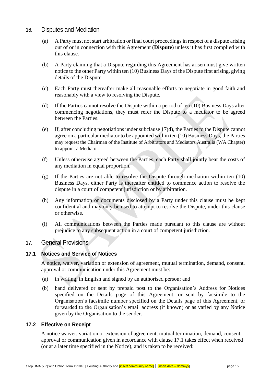## <span id="page-15-0"></span>16. Disputes and Mediation

- (a) A Party must not start arbitration or final court proceedings in respect of a dispute arising out of or in connection with this Agreement (**Dispute**) unless it has first complied with this clause.
- (b) A Party claiming that a Dispute regarding this Agreement has arisen must give written notice to the other Party within ten (10) Business Days of the Dispute first arising, giving details of the Dispute.
- (c) Each Party must thereafter make all reasonable efforts to negotiate in good faith and reasonably with a view to resolving the Dispute.
- (d) If the Parties cannot resolve the Dispute within a period of ten (10) Business Days after commencing negotiations, they must refer the Dispute to a mediator to be agreed between the Parties.
- (e) If, after concluding negotiations under subclause 17(d), the Parties to the Dispute cannot agree on a particular mediator to be appointed within ten (10) Business Days, the Parties may request the Chairman of the Institute of Arbitrators and Mediators Australia (WA Chapter) to appoint a Mediator.
- (f) Unless otherwise agreed between the Parties, each Party shall jointly bear the costs of any mediation in equal proportion.
- (g) If the Parties are not able to resolve the Dispute through mediation within ten (10) Business Days, either Party is thereafter entitled to commence action to resolve the dispute in a court of competent jurisdiction or by arbitration.
- (h) Any information or documents disclosed by a Party under this clause must be kept confidential and may only be used to attempt to resolve the Dispute, under this clause or otherwise.
- (i) All communications between the Parties made pursuant to this clause are without prejudice to any subsequent action in a court of competent jurisdiction.

## <span id="page-15-1"></span>17. General Provisions

#### <span id="page-15-2"></span>**17.1 Notices and Service of Notices**

A notice, waiver, variation or extension of agreement, mutual termination, demand, consent, approval or communication under this Agreement must be:

- (a) in writing, in English and signed by an authorised person; and
- (b) hand delivered or sent by prepaid post to the Organisation's Address for Notices specified on the Details page of this Agreement, or sent by facsimile to the Organisation's facsimile number specified on the Details page of this Agreement, or forwarded to the Organisation's email address (if known) or as varied by any Notice given by the Organisation to the sender.

### <span id="page-15-3"></span>**17.2 Effective on Receipt**

A notice waiver, variation or extension of agreement, mutual termination, demand, consent, approval or communication given in accordance with clause 17.1 takes effect when received (or at a later time specified in the Notice), and is taken to be received: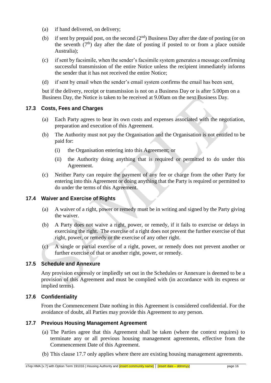- (a) if hand delivered, on delivery;
- (b) if sent by prepaid post, on the second  $(2<sup>nd</sup>)$  Business Day after the date of posting (or on the seventh  $(7<sup>th</sup>)$  day after the date of posting if posted to or from a place outside Australia);
- (c) if sent by facsimile, when the sender's facsimile system generates a message confirming successful transmission of the entire Notice unless the recipient immediately informs the sender that it has not received the entire Notice;
- (d) if sent by email when the sender's email system confirms the email has been sent,

but if the delivery, receipt or transmission is not on a Business Day or is after 5.00pm on a Business Day, the Notice is taken to be received at 9.00am on the next Business Day.

#### <span id="page-16-0"></span>**17.3 Costs, Fees and Charges**

- (a) Each Party agrees to bear its own costs and expenses associated with the negotiation, preparation and execution of this Agreement.
- (b) The Authority must not pay the Organisation and the Organisation is not entitled to be paid for:
	- (i) the Organisation entering into this Agreement; or
	- (ii) the Authority doing anything that is required or permitted to do under this Agreement.
- (c) Neither Party can require the payment of any fee or charge from the other Party for entering into this Agreement or doing anything that the Party is required or permitted to do under the terms of this Agreement.

#### <span id="page-16-1"></span>**17.4 Waiver and Exercise of Rights**

- (a) A waiver of a right, power or remedy must be in writing and signed by the Party giving the waiver.
- (b) A Party does not waive a right, power, or remedy, if it fails to exercise or delays in exercising the right. The exercise of a right does not prevent the further exercise of that right, power, or remedy or the exercise of any other right.
- (c) A single or partial exercise of a right, power, or remedy does not prevent another or further exercise of that or another right, power, or remedy.

#### <span id="page-16-2"></span>**17.5 Schedule and Annexure**

Any provision expressly or impliedly set out in the Schedules or Annexure is deemed to be a provision of this Agreement and must be complied with (in accordance with its express or implied terms).

#### <span id="page-16-3"></span>**17.6 Confidentiality**

From the Commencement Date nothing in this Agreement is considered confidential. For the avoidance of doubt, all Parties may provide this Agreement to any person.

#### <span id="page-16-4"></span>**17.7 Previous Housing Management Agreement**

- (a) The Parties agree that this Agreement shall be taken (where the context requires) to terminate any or all previous housing management agreements, effective from the Commencement Date of this Agreement.
- (b) This clause 17.7 only applies where there are existing housing management agreements.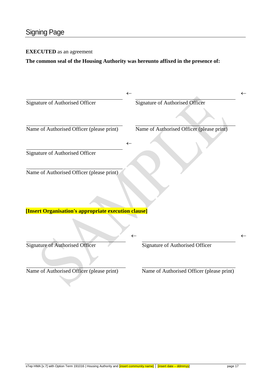#### <span id="page-17-0"></span>**EXECUTED** as an agreement

**The common seal of the Housing Authority was hereunto affixed in the presence of:**

|                                                      | $\leftarrow$<br>$\leftarrow$              |
|------------------------------------------------------|-------------------------------------------|
| Signature of Authorised Officer                      | Signature of Authorised Officer           |
| Name of Authorised Officer (please print)            | Name of Authorised Officer (please print) |
| Signature of Authorised Officer                      | ←                                         |
| Name of Authorised Officer (please print)            |                                           |
|                                                      |                                           |
| [Insert Organisation's appropriate execution clause] | $\leftarrow$<br>$\leftarrow$              |
| <b>Signature of Authorised Officer</b>               | Signature of Authorised Officer           |
| Name of Authorised Officer (please print)            | Name of Authorised Officer (please print) |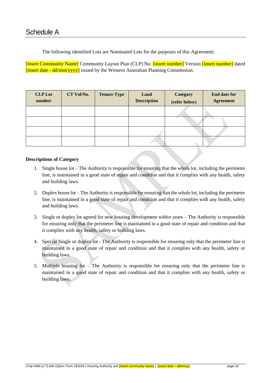<span id="page-18-0"></span>The following identified Lots are Nominated Lots for the purposes of this Agreement:

[insert Community Name] Community Layout Plan (CLP) No. [insert number] Version [insert number] dated [insert date - dd/mm/yyyy] issued by the Western Australian Planning Commission.

| <b>CLP</b> Lot<br>number | CT Vol/No. | <b>Tenure Type</b> | Land<br><b>Description</b> | <b>Category</b><br>(refer below) | <b>End date for</b><br><b>Agreement</b> |
|--------------------------|------------|--------------------|----------------------------|----------------------------------|-----------------------------------------|
|                          |            |                    |                            |                                  |                                         |
|                          |            |                    |                            |                                  |                                         |
|                          |            |                    |                            |                                  |                                         |
|                          |            |                    |                            |                                  |                                         |

#### **Descriptions of Category**

- 1. Single house lot The Authority is responsible for ensuring that the whole lot, including the perimeter line, is maintained in a good state of repair and condition and that it complies with any health, safety and building laws.
- 2. Duplex house lot The Authority is responsible for ensuring that the whole lot, including the perimeter line, is maintained in a good state of repair and condition and that it complies with any health, safety and building laws.
- 3. Single or duplex lot agreed for new housing development within years The Authority is responsible for ensuring only that the perimeter line is maintained in a good state of repair and condition and that it complies with any health, safety or building laws.
- 4. Special Single or duplex lot The Authority is responsible for ensuring only that the perimeter line is maintained in a good state of repair and condition and that it complies with any health, safety or building laws.
- 5. Multiple housing lot The Authority is responsible for ensuring only that the perimeter line is maintained in a good state of repair and condition and that it complies with any health, safety or building laws.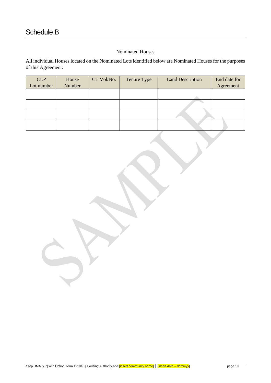#### Nominated Houses

<span id="page-19-0"></span>All individual Houses located on the Nominated Lots identified below are Nominated Houses for the purposes of this Agreement:

| <b>CLP</b> | House  | CT Vol/No. | Tenure Type | <b>Land Description</b> | End date for |
|------------|--------|------------|-------------|-------------------------|--------------|
| Lot number | Number |            |             |                         | Agreement    |
|            |        |            |             |                         |              |
|            |        |            |             |                         |              |
|            |        |            |             |                         |              |
|            |        |            |             |                         |              |
|            |        |            |             |                         |              |
|            |        |            |             |                         |              |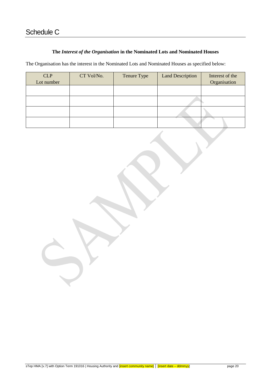#### **The** *Interest of the Organisation* **in the Nominated Lots and Nominated Houses**

<span id="page-20-0"></span>The Organisation has the interest in the Nominated Lots and Nominated Houses as specified below:

| <b>CLP</b> | CT Vol/No. | Tenure Type | <b>Land Description</b> | Interest of the |
|------------|------------|-------------|-------------------------|-----------------|
| Lot number |            |             |                         | Organisation    |
|            |            |             |                         |                 |
|            |            |             |                         |                 |
|            |            |             |                         |                 |
|            |            |             |                         |                 |
|            |            |             |                         |                 |
|            |            |             |                         |                 |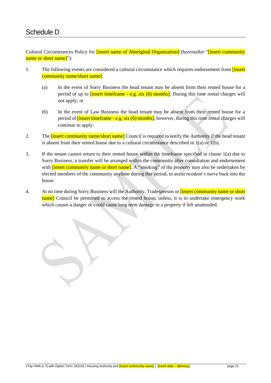<span id="page-21-0"></span>Cultural Circumstances Policy for *finsert name of Aboriginal Organisation* [(hereinafter "*finsert community* name or short name]"):

- 1. The following events are considered a cultural circumstance which requires endorsement from [insert] community name/short name]:
	- (a) In the event of Sorry Business the head tenant may be absent from their rented house for a period of up to  $\frac{f\text{insert timeframe} - e.g. \text{six} (6) \text{ months}}{h}$ . During this time rental charges will not apply; or
	- (b) In the event of Law Business the head tenant may be absent from their rented house for a period of  $\frac{1}{\ln^2}$  times frame - e.g. six (6) months], however, during this time rental charges will continue to apply.
- 2. The **<u>linsert community name/short name</u>** Council is required to notify the Authority if the head tenant is absent from their rented house due to a cultural circumstance described in  $1(a)$  or  $1(b)$ .
- 3. If the tenant cannot return to their rented house within the timeframe specified in clause 1(a) due to Sorry Business, a transfer will be arranged within the community after consultation and endorsement with **[insert community name or short name]**. A "smoking" of the property may also be undertaken by elected members of the community anytime during this period, to assist resident's move back into the house.
- 4. At no time during Sorry Business will the Authority, Tradesperson or *[insert community name or short*] name] Council be permitted to access the rented house, unless, it is to undertake emergency work which causes a danger or could cause long term damage to a property if left unattended.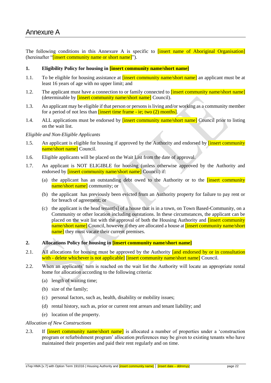<span id="page-22-0"></span>The following conditions in this Annexure A is specific to *finsert name of Aboriginal Organisation* (hereinafter "*linsert community name or short name*]").

#### **1. Eligibility Policy for housing in [insert community name/short name]**

- 1.1. To be eligible for housing assistance at *linsert community name*/short name<sup>d</sup> an applicant must be at least 16 years of age with no upper limit; and
- 1.2. The applicant must have a connection to or family connected to **[insert community name/short name]** (determinable by **[insert community name/short name]** Council).
- 1.3. An applicant may be eligible if that person or persons is living and/or working as a community member for a period of not less than [insert time frame - ie; two (2) months].
- 1.4. ALL applications must be endorsed by **[insert community name/short name]** Council prior to listing on the wait list.

#### *Eligible and Non-Eligible Applicants*

- 1.5. An applicant is eligible for housing if approved by the Authority and endorsed by **[insert community**] name/short name] Council.
- 1.6. Eligible applicants will be placed on the Wait List from the date of approval.
- 1.7. An applicant is NOT ELIGIBLE for housing (unless otherwise approved by the Authority and endorsed by **[insert community name/short name]** Council) if:
	- (a) the applicant has an outstanding debt owed to the Authority or to the [insert community name/short name] community; or
	- (b) the applicant has previously been evicted from an Authority property for failure to pay rent or for breach of agreement; or
	- (c) the applicant is the head tenant[s] of a house that is in a town, on Town Based-Community, on a Community or other location including outstations. In these circumstances, the applicant can be placed on the wait list with the approval of both the Housing Authority and **[insert community** name/short name] Council, however if they are allocated a house at **[insert community name/short**] name] they must vacate their current premises.
- **2. Allocations Policy for housing in [insert community name/short name]**
- 2.1. All allocations for housing must be approved by the Authority and endorsed by or in consultation with - delete whichever is not applicable] [insert community name/short name] Council.
- 2.2. When an applicants' turn is reached on the wait list the Authority will locate an appropriate rental home for allocation according to the following criteria:
	- (a) length of waiting time;
	- (b) size of the family;
	- (c) personal factors, such as, health, disability or mobility issues;
	- (d) rental history, such as, prior or current rent arrears and tenant liability; and
	- (e) location of the property.

#### *Allocation of New Constructions*

2.3. If **The Insert community name/short name** is allocated a number of properties under a 'construction program or refurbishment program' allocation preferences may be given to existing tenants who have maintained their properties and paid their rent regularly and on time.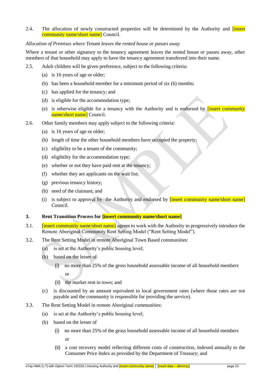2.4. The allocation of newly constructed properties will be determined by the Authority and *finsert* community name/short name] Council.

#### *Allocation of Premises where Tenant leaves the rented house or passes away*

Where a tenant or other signatory to the tenancy agreement leaves the rented house or passes away, other members of that household may apply to have the tenancy agreement transferred into their name.

- 2.5. Adult children will be given preference, subject to the following criteria:
	- (a) is 16 years of age or older;
	- (b) has been a household member for a minimum period of six (6) months;
	- (c) has applied for the tenancy; and
	- (d) is eligible for the accommodation type;
	- (e) is otherwise eligible for a tenancy with the Authority and is endorsed by  $\frac{1}{\text{insert community}}$ name/short name] Council.
- 2.6. Other family members may apply subject to the following criteria:
	- (a) is 16 years of age or older;
	- (b) length of time the other household members have occupied the property;
	- (c) eligibility to be a tenant of the community;
	- (d) eligibility for the accommodation type;
	- (e) whether or not they have paid rent at the tenancy;
	- (f) whether they are applicants on the wait list;
	- (g) previous tenancy history;
	- (h) need of the claimant; and
	- (i) is subject to approval by the Authority and endorsed by  $[insert community name/short name]$ Council.

#### **3. Rent Transition Process for [insert community name/short name]**

- 3.1. **[insert community name/short name]** agrees to work with the Authority to progressively introduce the Remote Aboriginal Community Rent Setting Model ("Rent Setting Model").
- 3.2. The Rent Setting Model in remote Aboriginal Town Based communities:
	- (a) is set at the Authority's public housing level;
	- (b) based on the lesser of
		- (i) no more than 25% of the gross household assessable income of all household members

or

- (ii) the market rent in town; and
- (c) is discounted by an amount equivalent to local government rates (where those rates are not payable and the community is responsible for providing the service).
- 3.3. The Rent Setting Model in remote Aboriginal communities:
	- (a) is set at the Authority's public housing level;
	- (b) based on the lesser of
		- (i) no more than 25% of the gross household assessable income of all household members or
		- (ii) a cost recovery model reflecting different costs of construction, indexed annually to the Consumer Price Index as provided by the Department of Treasury; and